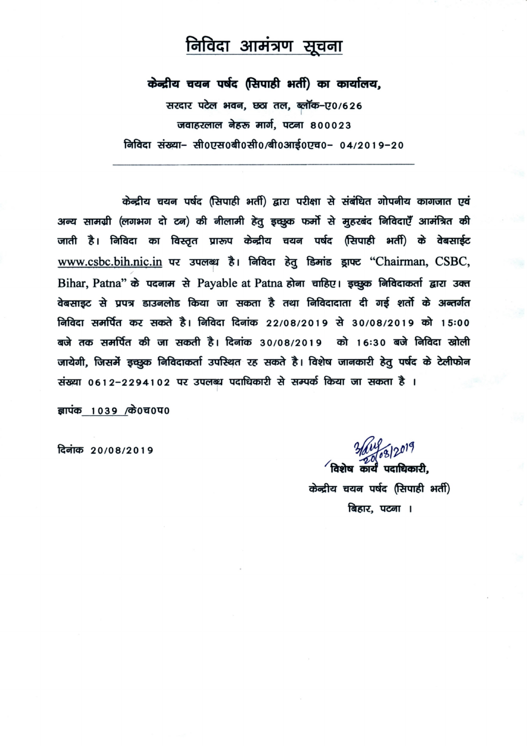## निविदा आमंत्रण सूचना

केन्द्रीय चयन पर्षद (सिपाही भर्ती) का कार्यालय,

सरदार पटेल भवन, छठा तल, ब्लॉक-ए0/626 जवाहरलाल नेहरू मार्ग, पटना 800023 निविदा संख्या− सी0एस0बी0सी0/बी0आई0एच0− 04/2019−20

केन्द्रीय चयन पर्षद (सिपाही भर्ती) द्वारा परीक्षा से संबंधित गोपनीय कागजात एवं अन्य सामग्री (लगभग दो टन) की नीलामी हेतू इच्छूक फर्मो से मुहरबंद निविदाएँ आमंत्रित की जाती है। निविदा का विस्तृत प्रारूप केन्द्रीय चयन पर्षद (सिपाही भर्ती) के वेबसाईट www.csbc.bih.nic.in पर उपलब्ध है। निविदा हेतु डिमांड ड्राफ्ट "Chairman, CSBC, Bihar, Patna" के पदनाम से Payable at Patna होना चाहिए। इच्छुक निविदाकर्ता द्वारा उक्त वेबसाइट से प्रपत्र डाउनलोड किया जा सकता है तथा निविदादाता दी गई शर्तो के अन्तर्गत निविदा समर्पित कर सकते है। निविदा दिनांक 22/08/2019 से 30/08/2019 को 15:00 बजे तक समर्पित की जा सकती है। दिनांक 30/08/2019 को 16:30 बजे निविदा खोली जायेगी, जिसमें इच्छूक निविदाकर्ता उपस्थित रह सकते है। विशेष जानकारी हेतु पर्षद के टेलीफोन संख्या 0612-2294102 पर उपलब्ध पदाधिकारी से सम्पर्क किया जा सकता है ।

ज्ञापंक 1039 / के0च0प0

दिनांक 20/08/2019

3/01/08/2019

 $^\prime$ विशेष कार्यं पदाधिकारी. केन्द्रीय चयन पर्षद (सिपाही भर्ती) बिहार, पटना ।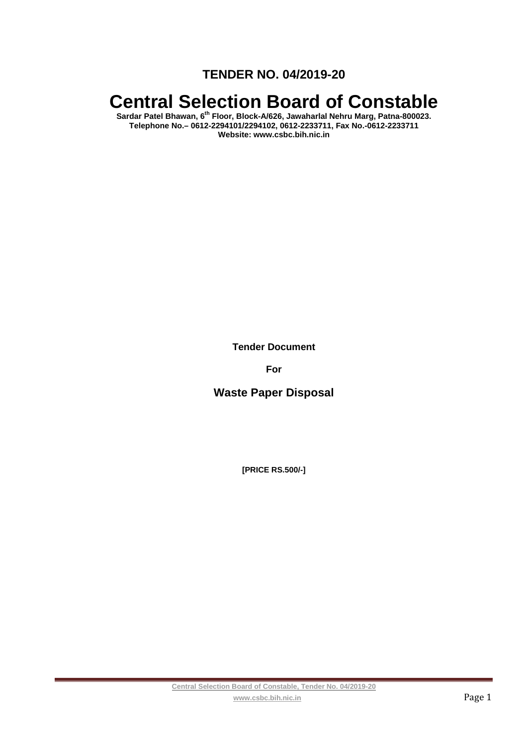**TENDER NO. 04/2019-20** 

# **Central Selection Board of Constable**

**Sardar Patel Bhawan, 6th Floor, Block-A/626, Jawaharlal Nehru Marg, Patna-800023. Telephone No.– 0612-2294101/2294102, 0612-2233711, Fax No.-0612-2233711 Website: www.csbc.bih.nic.in** 

**Tender Document** 

**For** 

**Waste Paper Disposal** 

**[PRICE RS.500/-]**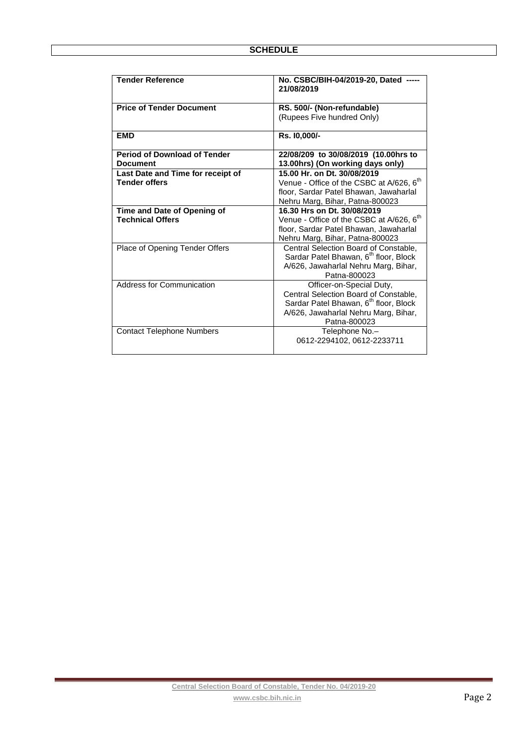| <b>Tender Reference</b>             | No. CSBC/BIH-04/2019-20, Dated<br>21/08/2019         |  |
|-------------------------------------|------------------------------------------------------|--|
| <b>Price of Tender Document</b>     | RS. 500/- (Non-refundable)                           |  |
|                                     | (Rupees Five hundred Only)                           |  |
| <b>EMD</b>                          | Rs. 10.000/-                                         |  |
| <b>Period of Download of Tender</b> | 22/08/209 to 30/08/2019 (10.00hrs to                 |  |
| <b>Document</b>                     | 13.00hrs) (On working days only)                     |  |
| Last Date and Time for receipt of   | 15.00 Hr. on Dt. 30/08/2019                          |  |
| <b>Tender offers</b>                | Venue - Office of the CSBC at A/626, 6 <sup>th</sup> |  |
|                                     | floor, Sardar Patel Bhawan, Jawaharlal               |  |
|                                     | Nehru Marg, Bihar, Patna-800023                      |  |
| Time and Date of Opening of         | 16.30 Hrs on Dt. 30/08/2019                          |  |
| <b>Technical Offers</b>             | Venue - Office of the CSBC at A/626, 6 <sup>th</sup> |  |
|                                     | floor, Sardar Patel Bhawan, Jawaharlal               |  |
|                                     | Nehru Marg, Bihar, Patna-800023                      |  |
| Place of Opening Tender Offers      | Central Selection Board of Constable,                |  |
|                                     | Sardar Patel Bhawan, 6 <sup>th</sup> floor, Block    |  |
|                                     | A/626, Jawaharlal Nehru Marg, Bihar,                 |  |
|                                     | Patna-800023                                         |  |
| Address for Communication           | Officer-on-Special Duty,                             |  |
|                                     | Central Selection Board of Constable,                |  |
|                                     | Sardar Patel Bhawan, 6 <sup>th</sup> floor, Block    |  |
|                                     | A/626, Jawaharlal Nehru Marg, Bihar,                 |  |
|                                     | Patna-800023                                         |  |
| <b>Contact Telephone Numbers</b>    | Telephone No.-                                       |  |
|                                     | 0612-2294102, 0612-2233711                           |  |
|                                     |                                                      |  |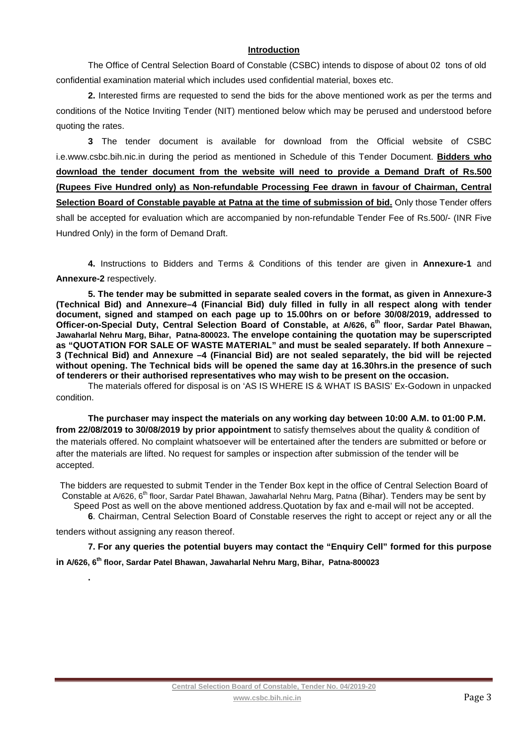## **Introduction**

The Office of Central Selection Board of Constable (CSBC) intends to dispose of about 02 tons of old confidential examination material which includes used confidential material, boxes etc.

**2.** Interested firms are requested to send the bids for the above mentioned work as per the terms and conditions of the Notice Inviting Tender (NIT) mentioned below which may be perused and understood before quoting the rates.

**3** The tender document is available for download from the Official website of CSBC i.e.www.csbc.bih.nic.in during the period as mentioned in Schedule of this Tender Document. **Bidders who download the tender document from the website will need to provide a Demand Draft of Rs.500 (Rupees Five Hundred only) as Non-refundable Processing Fee drawn in favour of Chairman, Central**  Selection Board of Constable payable at Patna at the time of submission of bid. Only those Tender offers shall be accepted for evaluation which are accompanied by non-refundable Tender Fee of Rs.500/- (INR Five Hundred Only) in the form of Demand Draft.

**4.** Instructions to Bidders and Terms & Conditions of this tender are given in **Annexure-1** and **Annexure-2** respectively.

**5. The tender may be submitted in separate sealed covers in the format, as given in Annexure-3 (Technical Bid) and Annexure–4 (Financial Bid) duly filled in fully in all respect along with tender document, signed and stamped on each page up to 15.00hrs on or before 30/08/2019, addressed to Officer-on-Special Duty, Central Selection Board of Constable, at A/626, 6th floor, Sardar Patel Bhawan, Jawaharlal Nehru Marg, Bihar, Patna-800023. The envelope containing the quotation may be superscripted as "QUOTATION FOR SALE OF WASTE MATERIAL" and must be sealed separately. If both Annexure – 3 (Technical Bid) and Annexure –4 (Financial Bid) are not sealed separately, the bid will be rejected without opening. The Technical bids will be opened the same day at 16.30hrs.in the presence of such of tenderers or their authorised representatives who may wish to be present on the occasion.**

The materials offered for disposal is on 'AS IS WHERE IS & WHAT IS BASIS' Ex-Godown in unpacked condition.

**The purchaser may inspect the materials on any working day between 10:00 A.M. to 01:00 P.M. from 22/08/2019 to 30/08/2019 by prior appointment** to satisfy themselves about the quality & condition of the materials offered. No complaint whatsoever will be entertained after the tenders are submitted or before or after the materials are lifted. No request for samples or inspection after submission of the tender will be accepted.

The bidders are requested to submit Tender in the Tender Box kept in the office of Central Selection Board of Constable at A/626, 6<sup>th</sup> floor, Sardar Patel Bhawan, Jawaharlal Nehru Marg, Patna (Bihar). Tenders may be sent by Speed Post as well on the above mentioned address.Quotation by fax and e-mail will not be accepted.

**6**. Chairman, Central Selection Board of Constable reserves the right to accept or reject any or all the tenders without assigning any reason thereof.

**7. For any queries the potential buyers may contact the "Enquiry Cell" formed for this purpose** 

**in A/626, 6th floor, Sardar Patel Bhawan, Jawaharlal Nehru Marg, Bihar, Patna-800023**

**.**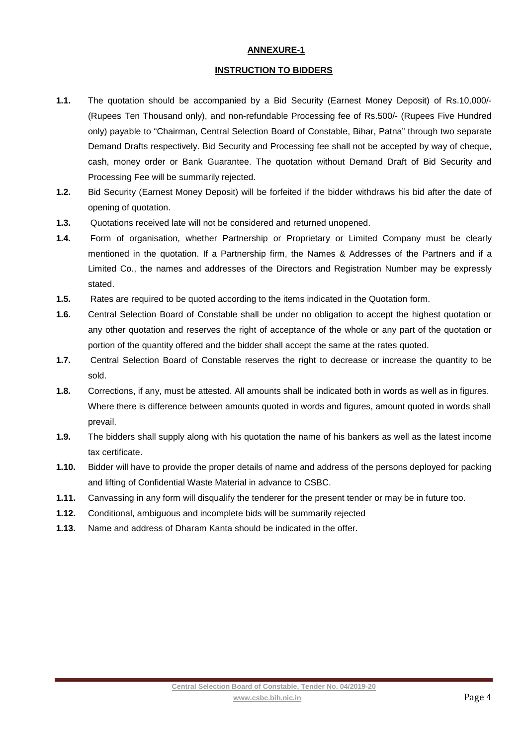## **ANNEXURE-1**

### **INSTRUCTION TO BIDDERS**

- **1.1.** The quotation should be accompanied by a Bid Security (Earnest Money Deposit) of Rs.10,000/- (Rupees Ten Thousand only), and non-refundable Processing fee of Rs.500/- (Rupees Five Hundred only) payable to "Chairman, Central Selection Board of Constable, Bihar, Patna" through two separate Demand Drafts respectively. Bid Security and Processing fee shall not be accepted by way of cheque, cash, money order or Bank Guarantee. The quotation without Demand Draft of Bid Security and Processing Fee will be summarily rejected.
- **1.2.** Bid Security (Earnest Money Deposit) will be forfeited if the bidder withdraws his bid after the date of opening of quotation.
- **1.3.** Quotations received late will not be considered and returned unopened.
- **1.4.** Form of organisation, whether Partnership or Proprietary or Limited Company must be clearly mentioned in the quotation. If a Partnership firm, the Names & Addresses of the Partners and if a Limited Co., the names and addresses of the Directors and Registration Number may be expressly stated.
- **1.5.** Rates are required to be quoted according to the items indicated in the Quotation form.
- **1.6.** Central Selection Board of Constable shall be under no obligation to accept the highest quotation or any other quotation and reserves the right of acceptance of the whole or any part of the quotation or portion of the quantity offered and the bidder shall accept the same at the rates quoted.
- **1.7.** Central Selection Board of Constable reserves the right to decrease or increase the quantity to be sold.
- **1.8.** Corrections, if any, must be attested. All amounts shall be indicated both in words as well as in figures. Where there is difference between amounts quoted in words and figures, amount quoted in words shall prevail.
- **1.9.** The bidders shall supply along with his quotation the name of his bankers as well as the latest income tax certificate.
- **1.10.** Bidder will have to provide the proper details of name and address of the persons deployed for packing and lifting of Confidential Waste Material in advance to CSBC.
- **1.11.** Canvassing in any form will disqualify the tenderer for the present tender or may be in future too.
- **1.12.** Conditional, ambiguous and incomplete bids will be summarily rejected
- **1.13.** Name and address of Dharam Kanta should be indicated in the offer.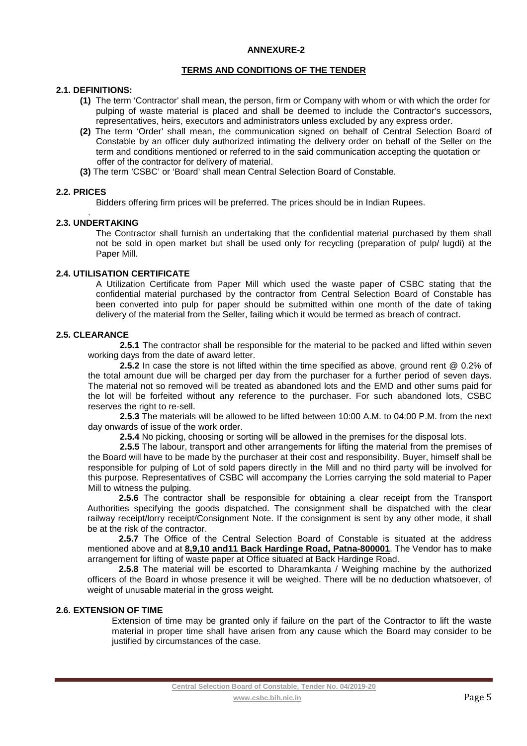#### **ANNEXURE-2**

#### **TERMS AND CONDITIONS OF THE TENDER**

#### **2.1. DEFINITIONS:**

- **(1)** The term 'Contractor' shall mean, the person, firm or Company with whom or with which the order for pulping of waste material is placed and shall be deemed to include the Contractor's successors, representatives, heirs, executors and administrators unless excluded by any express order.
- **(2)** The term 'Order' shall mean, the communication signed on behalf of Central Selection Board of Constable by an officer duly authorized intimating the delivery order on behalf of the Seller on the term and conditions mentioned or referred to in the said communication accepting the quotation or offer of the contractor for delivery of material.
- **(3)** The term 'CSBC' or 'Board' shall mean Central Selection Board of Constable.

### **2.2. PRICES**

Bidders offering firm prices will be preferred. The prices should be in Indian Rupees.

#### . **2.3. UNDERTAKING**

The Contractor shall furnish an undertaking that the confidential material purchased by them shall not be sold in open market but shall be used only for recycling (preparation of pulp/ lugdi) at the Paper Mill.

#### **2.4. UTILISATION CERTIFICATE**

A Utilization Certificate from Paper Mill which used the waste paper of CSBC stating that the confidential material purchased by the contractor from Central Selection Board of Constable has been converted into pulp for paper should be submitted within one month of the date of taking delivery of the material from the Seller, failing which it would be termed as breach of contract.

## **2.5. CLEARANCE**

 **2.5.1** The contractor shall be responsible for the material to be packed and lifted within seven working days from the date of award letter.

**2.5.2** In case the store is not lifted within the time specified as above, ground rent @ 0.2% of the total amount due will be charged per day from the purchaser for a further period of seven days. The material not so removed will be treated as abandoned lots and the EMD and other sums paid for the lot will be forfeited without any reference to the purchaser. For such abandoned lots, CSBC reserves the right to re-sell.

**2.5.3** The materials will be allowed to be lifted between 10:00 A.M. to 04:00 P.M. from the next day onwards of issue of the work order.

**2.5.4** No picking, choosing or sorting will be allowed in the premises for the disposal lots.

**2.5.5** The labour, transport and other arrangements for lifting the material from the premises of the Board will have to be made by the purchaser at their cost and responsibility. Buyer, himself shall be responsible for pulping of Lot of sold papers directly in the Mill and no third party will be involved for this purpose. Representatives of CSBC will accompany the Lorries carrying the sold material to Paper Mill to witness the pulping.

**2.5.6** The contractor shall be responsible for obtaining a clear receipt from the Transport Authorities specifying the goods dispatched. The consignment shall be dispatched with the clear railway receipt/lorry receipt/Consignment Note. If the consignment is sent by any other mode, it shall be at the risk of the contractor.

**2.5.7** The Office of the Central Selection Board of Constable is situated at the address mentioned above and at **8,9,10 and11 Back Hardinge Road, Patna-800001**. The Vendor has to make arrangement for lifting of waste paper at Office situated at Back Hardinge Road.

**2.5.8** The material will be escorted to Dharamkanta / Weighing machine by the authorized officers of the Board in whose presence it will be weighed. There will be no deduction whatsoever, of weight of unusable material in the gross weight.

## **2.6. EXTENSION OF TIME**

Extension of time may be granted only if failure on the part of the Contractor to lift the waste material in proper time shall have arisen from any cause which the Board may consider to be justified by circumstances of the case.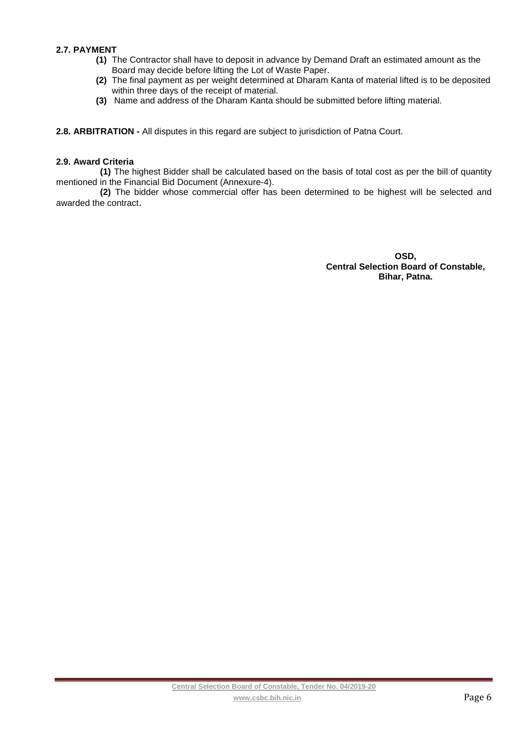## **2.7. PAYMENT**

- **(1)** The Contractor shall have to deposit in advance by Demand Draft an estimated amount as the Board may decide before lifting the Lot of Waste Paper.
- **(2)** The final payment as per weight determined at Dharam Kanta of material lifted is to be deposited within three days of the receipt of material.
- **(3)** Name and address of the Dharam Kanta should be submitted before lifting material.

**2.8. ARBITRATION -** All disputes in this regard are subject to jurisdiction of Patna Court.

#### **2.9. Award Criteria**

**(1)** The highest Bidder shall be calculated based on the basis of total cost as per the bill of quantity mentioned in the Financial Bid Document (Annexure-4).

**(2)** The bidder whose commercial offer has been determined to be highest will be selected and awarded the contract.

> **OSD, Central Selection Board of Constable, Bihar, Patna.**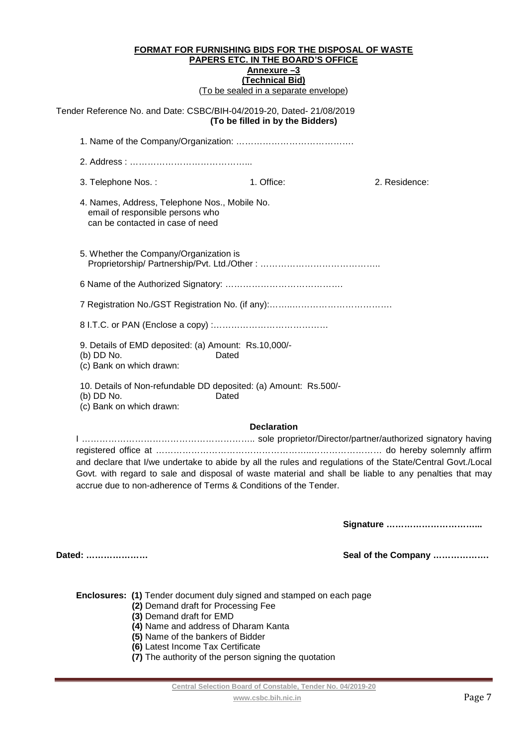Tender Reference No. and Date: CSBC/BIH-04/2019-20, Dated- 21/08/2019 **(To be filled in by the Bidders)** 

| 3. Telephone Nos.:                                                                                                    | 1. Office: | 2. Residence: |  |  |
|-----------------------------------------------------------------------------------------------------------------------|------------|---------------|--|--|
| 4. Names, Address, Telephone Nos., Mobile No.<br>email of responsible persons who<br>can be contacted in case of need |            |               |  |  |
| 5. Whether the Company/Organization is                                                                                |            |               |  |  |
|                                                                                                                       |            |               |  |  |
|                                                                                                                       |            |               |  |  |
|                                                                                                                       |            |               |  |  |
| 9. Details of EMD deposited: (a) Amount: Rs.10,000/-<br>(b) DD No.<br>Dated<br>(c) Bank on which drawn:               |            |               |  |  |
| 10. Details of Non-refundable DD deposited: (a) Amount: Rs.500/-<br>(b) DD No.<br>Dated<br>.                          |            |               |  |  |

(c) Bank on which drawn:

## **Declaration**

I ………………………………………………….. sole proprietor/Director/partner/authorized signatory having registered office at ……………………………………………..…………………… do hereby solemnly affirm and declare that I/we undertake to abide by all the rules and regulations of the State/Central Govt./Local Govt. with regard to sale and disposal of waste material and shall be liable to any penalties that may accrue due to non-adherence of Terms & Conditions of the Tender.

**Signature …………………………...** 

**Dated: ………………… Seal of the Company ……………….** 

- **(2)** Demand draft for Processing Fee
- **(3)** Demand draft for EMD
- **(4)** Name and address of Dharam Kanta
- **(5)** Name of the bankers of Bidder
- **(6)** Latest Income Tax Certificate
- **(7)** The authority of the person signing the quotation